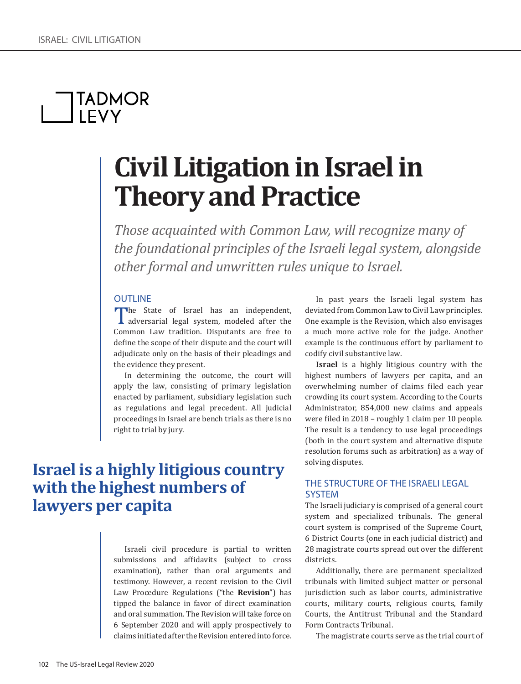# **TADMOR**<br>LEVY

## **Civil Litigation in Israel in Theory and Practice**

*Those acquainted with Common Law, will recognize many of the foundational principles of the Israeli legal system, alongside other formal and unwritten rules unique to Israel.*

### **OUTLINE**

The State of Israel has an independent,<br>
adversarial legal system, modeled after the<br>
Common Law tradition. Disputants are free to Common Law tradition. Disputants are free to define the scope of their dispute and the court will adjudicate only on the basis of their pleadings and the evidence they present.

In determining the outcome, the court will apply the law, consisting of primary legislation enacted by parliament, subsidiary legislation such as regulations and legal precedent. All judicial proceedings in Israel are bench trials as there is no right to trial by jury.

### **Israel is a highly litigious country with the highest numbers of lawyers per capita**

Israeli civil procedure is partial to written submissions and affidavits (subject to cross examination), rather than oral arguments and testimony. However, a recent revision to the Civil Law Procedure Regulations ("the **Revision**") has tipped the balance in favor of direct examination and oral summation. The Revision will take force on 6 September 2020 and will apply prospectively to claims initiated after the Revision entered into force.

In past years the Israeli legal system has deviated from Common Law to Civil Law principles. One example is the Revision, which also envisages a much more active role for the judge. Another example is the continuous effort by parliament to codify civil substantive law.

**Israel** is a highly litigious country with the highest numbers of lawyers per capita, and an overwhelming number of claims filed each year crowding its court system. According to the Courts Administrator, 854,000 new claims and appeals were filed in 2018 – roughly 1 claim per 10 people. The result is a tendency to use legal proceedings (both in the court system and alternative dispute resolution forums such as arbitration) as a way of solving disputes.

### THE STRUCTURE OF THE ISRAELI LEGAL SYSTEM

The Israeli judiciary is comprised of a general court system and specialized tribunals. The general court system is comprised of the Supreme Court, 6 District Courts (one in each judicial district) and 28 magistrate courts spread out over the different districts.

Additionally, there are permanent specialized tribunals with limited subject matter or personal jurisdiction such as labor courts, administrative courts, military courts, religious courts, family Courts, the Antitrust Tribunal and the Standard Form Contracts Tribunal.

The magistrate courts serve as the trial court of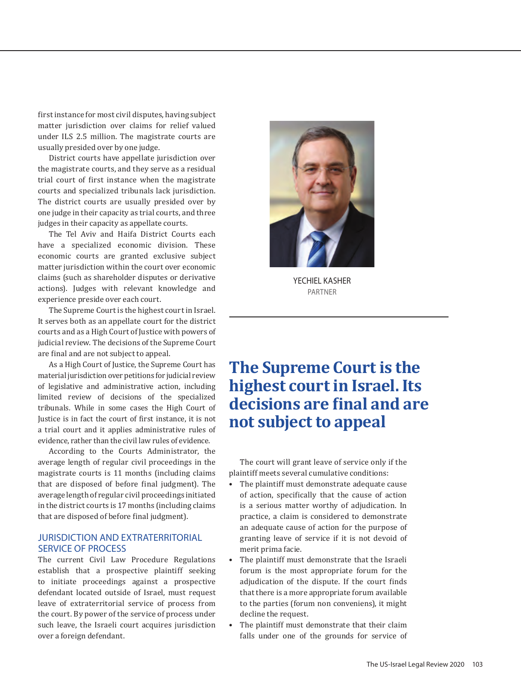first instance for most civil disputes, having subject matter jurisdiction over claims for relief valued under ILS 2.5 million. The magistrate courts are usually presided over by one judge.

District courts have appellate jurisdiction over the magistrate courts, and they serve as a residual trial court of first instance when the magistrate courts and specialized tribunals lack jurisdiction. The district courts are usually presided over by one judge in their capacity as trial courts, and three judges in their capacity as appellate courts.

The Tel Aviv and Haifa District Courts each have a specialized economic division. These economic courts are granted exclusive subject matter jurisdiction within the court over economic claims (such as shareholder disputes or derivative actions). Judges with relevant knowledge and experience preside over each court.

The Supreme Court is the highest court in Israel. It serves both as an appellate court for the district courts and as a High Court of Justice with powers of judicial review. The decisions of the Supreme Court are final and are not subject to appeal.

As a High Court of Justice, the Supreme Court has material jurisdiction over petitions for judicial review of legislative and administrative action, including limited review of decisions of the specialized tribunals. While in some cases the High Court of Justice is in fact the court of first instance, it is not a trial court and it applies administrative rules of evidence, rather than the civil law rules of evidence.

According to the Courts Administrator, the average length of regular civil proceedings in the magistrate courts is 11 months (including claims that are disposed of before final judgment). The average length of regular civil proceedings initiated in the district courts is 17 months (including claims that are disposed of before final judgment).

### JURISDICTION AND EXTRATERRITORIAL SERVICE OF PROCESS

The current Civil Law Procedure Regulations establish that a prospective plaintiff seeking to initiate proceedings against a prospective defendant located outside of Israel, must request leave of extraterritorial service of process from the court. By power of the service of process under such leave, the Israeli court acquires jurisdiction over a foreign defendant.



YECHIEL KASHER PARTNER

### **The Supreme Court is the highest court in Israel. Its decisions are final and are not subject to appeal**

The court will grant leave of service only if the plaintiff meets several cumulative conditions:

- The plaintiff must demonstrate adequate cause of action, specifically that the cause of action is a serious matter worthy of adjudication. In practice, a claim is considered to demonstrate an adequate cause of action for the purpose of granting leave of service if it is not devoid of merit prima facie.
- The plaintiff must demonstrate that the Israeli forum is the most appropriate forum for the adjudication of the dispute. If the court finds that there is a more appropriate forum available to the parties (forum non conveniens), it might decline the request.
- The plaintiff must demonstrate that their claim falls under one of the grounds for service of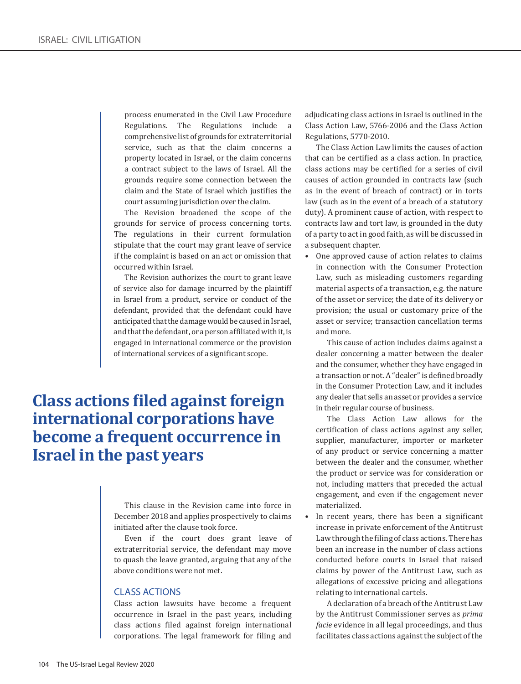process enumerated in the Civil Law Procedure Regulations. The Regulations include a comprehensive list of grounds for extraterritorial service, such as that the claim concerns a property located in Israel, or the claim concerns a contract subject to the laws of Israel. All the grounds require some connection between the claim and the State of Israel which justifies the court assuming jurisdiction over the claim.

The Revision broadened the scope of the grounds for service of process concerning torts. The regulations in their current formulation stipulate that the court may grant leave of service if the complaint is based on an act or omission that occurred within Israel.

The Revision authorizes the court to grant leave of service also for damage incurred by the plaintiff in Israel from a product, service or conduct of the defendant, provided that the defendant could have anticipated that the damage would be caused in Israel, and that the defendant, or a person affiliated with it, is engaged in international commerce or the provision of international services of a significant scope.

### **Class actions filed against foreign international corporations have become a frequent occurrence in Israel in the past years**

This clause in the Revision came into force in December 2018 and applies prospectively to claims initiated after the clause took force.

Even if the court does grant leave of extraterritorial service, the defendant may move to quash the leave granted, arguing that any of the above conditions were not met.

### CLASS ACTIONS

Class action lawsuits have become a frequent occurrence in Israel in the past years, including class actions filed against foreign international corporations. The legal framework for filing and adjudicating class actions in Israel is outlined in the Class Action Law, 5766-2006 and the Class Action Regulations, 5770-2010.

The Class Action Law limits the causes of action that can be certified as a class action. In practice, class actions may be certified for a series of civil causes of action grounded in contracts law (such as in the event of breach of contract) or in torts law (such as in the event of a breach of a statutory duty). A prominent cause of action, with respect to contracts law and tort law, is grounded in the duty of a party to act in good faith, as will be discussed in a subsequent chapter.

• One approved cause of action relates to claims in connection with the Consumer Protection Law, such as misleading customers regarding material aspects of a transaction, e.g. the nature of the asset or service; the date of its delivery or provision; the usual or customary price of the asset or service; transaction cancellation terms and more.

This cause of action includes claims against a dealer concerning a matter between the dealer and the consumer, whether they have engaged in a transaction or not. A "dealer" is defined broadly in the Consumer Protection Law, and it includes any dealer that sells an asset or provides a service in their regular course of business.

The Class Action Law allows for the certification of class actions against any seller, supplier, manufacturer, importer or marketer of any product or service concerning a matter between the dealer and the consumer, whether the product or service was for consideration or not, including matters that preceded the actual engagement, and even if the engagement never materialized.

• In recent years, there has been a significant increase in private enforcement of the Antitrust Law through the filing of class actions. There has been an increase in the number of class actions conducted before courts in Israel that raised claims by power of the Antitrust Law, such as allegations of excessive pricing and allegations relating to international cartels.

A declaration of a breach of the Antitrust Law by the Antitrust Commissioner serves as *prima facie* evidence in all legal proceedings, and thus facilitates class actions against the subject of the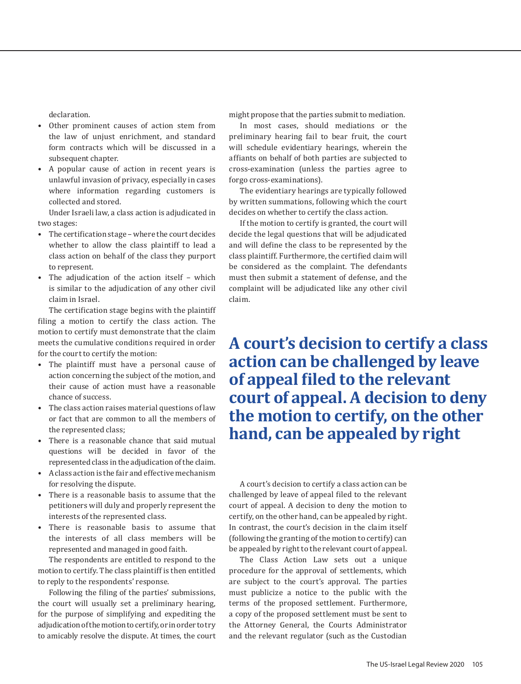declaration.

- Other prominent causes of action stem from the law of unjust enrichment, and standard form contracts which will be discussed in a subsequent chapter.
- A popular cause of action in recent years is unlawful invasion of privacy, especially in cases where information regarding customers is collected and stored.

Under Israeli law, a class action is adjudicated in two stages:

- The certification stage where the court decides whether to allow the class plaintiff to lead a class action on behalf of the class they purport to represent.
- The adjudication of the action itself which is similar to the adjudication of any other civil claim in Israel.

The certification stage begins with the plaintiff filing a motion to certify the class action. The motion to certify must demonstrate that the claim meets the cumulative conditions required in order for the court to certify the motion:

- The plaintiff must have a personal cause of action concerning the subject of the motion, and their cause of action must have a reasonable chance of success.
- The class action raises material questions of law or fact that are common to all the members of the represented class;
- There is a reasonable chance that said mutual questions will be decided in favor of the represented class in the adjudication of the claim.
- A class action is the fair and effective mechanism for resolving the dispute.
- There is a reasonable basis to assume that the petitioners will duly and properly represent the interests of the represented class.
- There is reasonable basis to assume that the interests of all class members will be represented and managed in good faith.

The respondents are entitled to respond to the motion to certify. The class plaintiff is then entitled to reply to the respondents' response.

Following the filing of the parties' submissions, the court will usually set a preliminary hearing, for the purpose of simplifying and expediting the adjudication of the motion to certify, or in order to try to amicably resolve the dispute. At times, the court might propose that the parties submit to mediation.

In most cases, should mediations or the preliminary hearing fail to bear fruit, the court will schedule evidentiary hearings, wherein the affiants on behalf of both parties are subjected to cross-examination (unless the parties agree to forgo cross-examinations).

The evidentiary hearings are typically followed by written summations, following which the court decides on whether to certify the class action.

If the motion to certify is granted, the court will decide the legal questions that will be adjudicated and will define the class to be represented by the class plaintiff. Furthermore, the certified claim will be considered as the complaint. The defendants must then submit a statement of defense, and the complaint will be adjudicated like any other civil claim.

**A court's decision to certify a class action can be challenged by leave of appeal filed to the relevant court of appeal. A decision to deny the motion to certify, on the other hand, can be appealed by right**

A court's decision to certify a class action can be challenged by leave of appeal filed to the relevant court of appeal. A decision to deny the motion to certify, on the other hand, can be appealed by right. In contrast, the court's decision in the claim itself (following the granting of the motion to certify) can be appealed by right to the relevant court of appeal.

The Class Action Law sets out a unique procedure for the approval of settlements, which are subject to the court's approval. The parties must publicize a notice to the public with the terms of the proposed settlement. Furthermore, a copy of the proposed settlement must be sent to the Attorney General, the Courts Administrator and the relevant regulator (such as the Custodian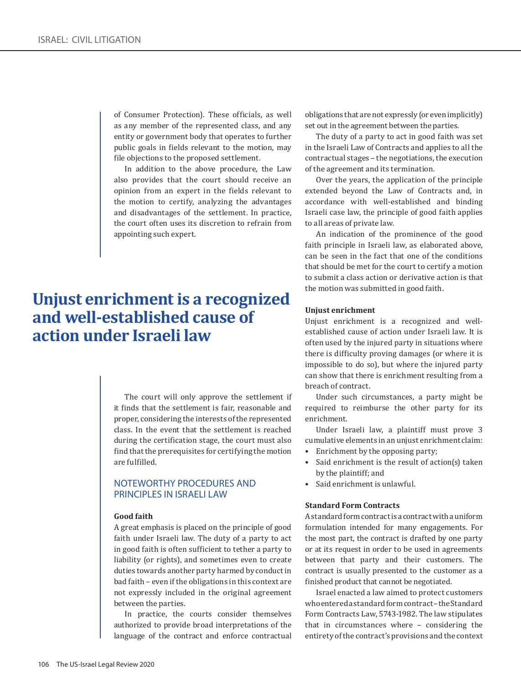of Consumer Protection). These officials, as well as any member of the represented class, and any entity or government body that operates to further public goals in fields relevant to the motion, may file objections to the proposed settlement.

In addition to the above procedure, the Law also provides that the court should receive an opinion from an expert in the fields relevant to the motion to certify, analyzing the advantages and disadvantages of the settlement. In practice, the court often uses its discretion to refrain from appointing such expert.

### **Unjust enrichment is a recognized and well-established cause of action under Israeli law**

The court will only approve the settlement if it finds that the settlement is fair, reasonable and proper, considering the interests of the represented class. In the event that the settlement is reached during the certification stage, the court must also find that the prerequisites for certifying the motion are fulfilled.

### NOTEWORTHY PROCEDURES AND PRINCIPLES IN ISRAELI LAW

#### **Good faith**

A great emphasis is placed on the principle of good faith under Israeli law. The duty of a party to act in good faith is often sufficient to tether a party to liability (or rights), and sometimes even to create duties towards another party harmed by conduct in bad faith – even if the obligations in this context are not expressly included in the original agreement between the parties.

In practice, the courts consider themselves authorized to provide broad interpretations of the language of the contract and enforce contractual

obligations that are not expressly (or even implicitly) set out in the agreement between the parties.

The duty of a party to act in good faith was set in the Israeli Law of Contracts and applies to all the contractual stages – the negotiations, the execution of the agreement and its termination.

Over the years, the application of the principle extended beyond the Law of Contracts and, in accordance with well-established and binding Israeli case law, the principle of good faith applies to all areas of private law.

An indication of the prominence of the good faith principle in Israeli law, as elaborated above, can be seen in the fact that one of the conditions that should be met for the court to certify a motion to submit a class action or derivative action is that the motion was submitted in good faith.

#### **Unjust enrichment**

Unjust enrichment is a recognized and wellestablished cause of action under Israeli law. It is often used by the injured party in situations where there is difficulty proving damages (or where it is impossible to do so), but where the injured party can show that there is enrichment resulting from a breach of contract.

Under such circumstances, a party might be required to reimburse the other party for its enrichment.

Under Israeli law, a plaintiff must prove 3 cumulative elements in an unjust enrichment claim:

- Enrichment by the opposing party;
- Said enrichment is the result of action(s) taken by the plaintiff; and
- Said enrichment is unlawful.

#### **Standard Form Contracts**

A standard form contract is a contract with a uniform formulation intended for many engagements. For the most part, the contract is drafted by one party or at its request in order to be used in agreements between that party and their customers. The contract is usually presented to the customer as a finished product that cannot be negotiated.

Israel enacted a law aimed to protect customers who entered a standard form contract – the Standard Form Contracts Law, 5743-1982. The law stipulates that in circumstances where – considering the entirety of the contract's provisions and the context